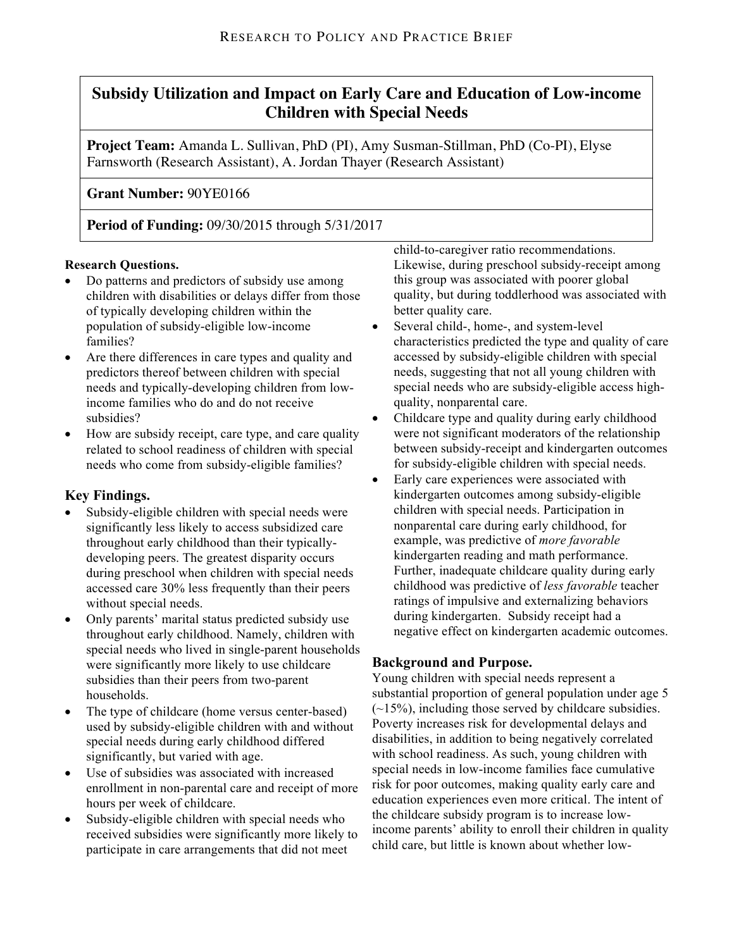# **Subsidy Utilization and Impact on Early Care and Education of Low-income Children with Special Needs**

**Project Team:** Amanda L. Sullivan, PhD (PI), Amy Susman-Stillman, PhD (Co-PI), Elyse Farnsworth (Research Assistant), A. Jordan Thayer (Research Assistant)

# **Grant Number:** 90YE0166

**Period of Funding:** 09/30/2015 through 5/31/2017

### **Research Questions.**

- Do patterns and predictors of subsidy use among children with disabilities or delays differ from those of typically developing children within the population of subsidy-eligible low-income families?
- Are there differences in care types and quality and predictors thereof between children with special needs and typically-developing children from lowincome families who do and do not receive subsidies?
- How are subsidy receipt, care type, and care quality related to school readiness of children with special needs who come from subsidy-eligible families?

### **Key Findings.**

- Subsidy-eligible children with special needs were significantly less likely to access subsidized care throughout early childhood than their typicallydeveloping peers. The greatest disparity occurs during preschool when children with special needs accessed care 30% less frequently than their peers without special needs.
- Only parents' marital status predicted subsidy use throughout early childhood. Namely, children with special needs who lived in single-parent households were significantly more likely to use childcare subsidies than their peers from two-parent households.
- The type of childcare (home versus center-based) used by subsidy-eligible children with and without special needs during early childhood differed significantly, but varied with age.
- Use of subsidies was associated with increased enrollment in non-parental care and receipt of more hours per week of childcare.
- Subsidy-eligible children with special needs who received subsidies were significantly more likely to participate in care arrangements that did not meet

child-to-caregiver ratio recommendations. Likewise, during preschool subsidy-receipt among this group was associated with poorer global quality, but during toddlerhood was associated with better quality care.

- Several child-, home-, and system-level characteristics predicted the type and quality of care accessed by subsidy-eligible children with special needs, suggesting that not all young children with special needs who are subsidy-eligible access highquality, nonparental care.
- Childcare type and quality during early childhood were not significant moderators of the relationship between subsidy-receipt and kindergarten outcomes for subsidy-eligible children with special needs.
- Early care experiences were associated with kindergarten outcomes among subsidy-eligible children with special needs. Participation in nonparental care during early childhood, for example, was predictive of *more favorable* kindergarten reading and math performance. Further, inadequate childcare quality during early childhood was predictive of *less favorable* teacher ratings of impulsive and externalizing behaviors during kindergarten. Subsidy receipt had a negative effect on kindergarten academic outcomes.

### **Background and Purpose.**

Young children with special needs represent a substantial proportion of general population under age 5  $(-15%)$ , including those served by childcare subsidies. Poverty increases risk for developmental delays and disabilities, in addition to being negatively correlated with school readiness. As such, young children with special needs in low-income families face cumulative risk for poor outcomes, making quality early care and education experiences even more critical. The intent of the childcare subsidy program is to increase lowincome parents' ability to enroll their children in quality child care, but little is known about whether low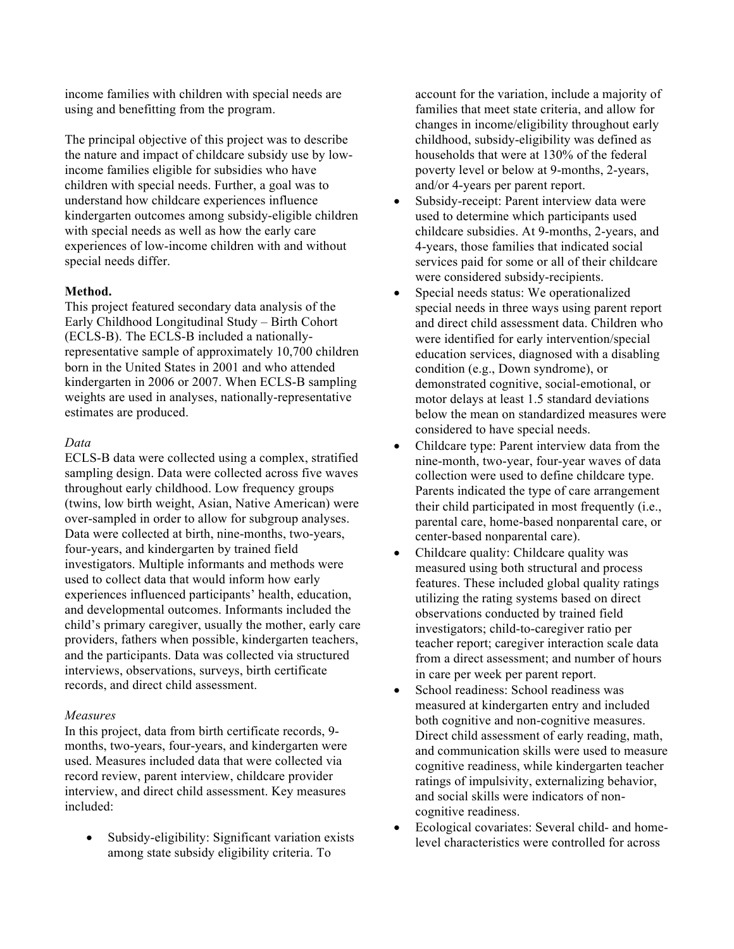income families with children with special needs are using and benefitting from the program.

The principal objective of this project was to describe the nature and impact of childcare subsidy use by lowincome families eligible for subsidies who have children with special needs. Further, a goal was to understand how childcare experiences influence kindergarten outcomes among subsidy-eligible children with special needs as well as how the early care experiences of low-income children with and without special needs differ.

### **Method.**

This project featured secondary data analysis of the Early Childhood Longitudinal Study – Birth Cohort (ECLS-B). The ECLS-B included a nationallyrepresentative sample of approximately 10,700 children born in the United States in 2001 and who attended kindergarten in 2006 or 2007. When ECLS-B sampling weights are used in analyses, nationally-representative estimates are produced.

#### *Data*

ECLS-B data were collected using a complex, stratified sampling design. Data were collected across five waves throughout early childhood. Low frequency groups (twins, low birth weight, Asian, Native American) were over-sampled in order to allow for subgroup analyses. Data were collected at birth, nine-months, two-years, four-years, and kindergarten by trained field investigators. Multiple informants and methods were used to collect data that would inform how early experiences influenced participants' health, education, and developmental outcomes. Informants included the child's primary caregiver, usually the mother, early care providers, fathers when possible, kindergarten teachers, and the participants. Data was collected via structured interviews, observations, surveys, birth certificate records, and direct child assessment.

### *Measures*

In this project, data from birth certificate records, 9 months, two-years, four-years, and kindergarten were used. Measures included data that were collected via record review, parent interview, childcare provider interview, and direct child assessment. Key measures included:

Subsidy-eligibility: Significant variation exists among state subsidy eligibility criteria. To

account for the variation, include a majority of families that meet state criteria, and allow for changes in income/eligibility throughout early childhood, subsidy-eligibility was defined as households that were at 130% of the federal poverty level or below at 9-months, 2-years, and/or 4-years per parent report.

- Subsidy-receipt: Parent interview data were used to determine which participants used childcare subsidies. At 9-months, 2-years, and 4-years, those families that indicated social services paid for some or all of their childcare were considered subsidy-recipients.
- Special needs status: We operationalized special needs in three ways using parent report and direct child assessment data. Children who were identified for early intervention/special education services, diagnosed with a disabling condition (e.g., Down syndrome), or demonstrated cognitive, social-emotional, or motor delays at least 1.5 standard deviations below the mean on standardized measures were considered to have special needs.
- Childcare type: Parent interview data from the nine-month, two-year, four-year waves of data collection were used to define childcare type. Parents indicated the type of care arrangement their child participated in most frequently (i.e., parental care, home-based nonparental care, or center-based nonparental care).
- Childcare quality: Childcare quality was measured using both structural and process features. These included global quality ratings utilizing the rating systems based on direct observations conducted by trained field investigators; child-to-caregiver ratio per teacher report; caregiver interaction scale data from a direct assessment; and number of hours in care per week per parent report.
- School readiness: School readiness was measured at kindergarten entry and included both cognitive and non-cognitive measures. Direct child assessment of early reading, math, and communication skills were used to measure cognitive readiness, while kindergarten teacher ratings of impulsivity, externalizing behavior, and social skills were indicators of noncognitive readiness.
- Ecological covariates: Several child- and homelevel characteristics were controlled for across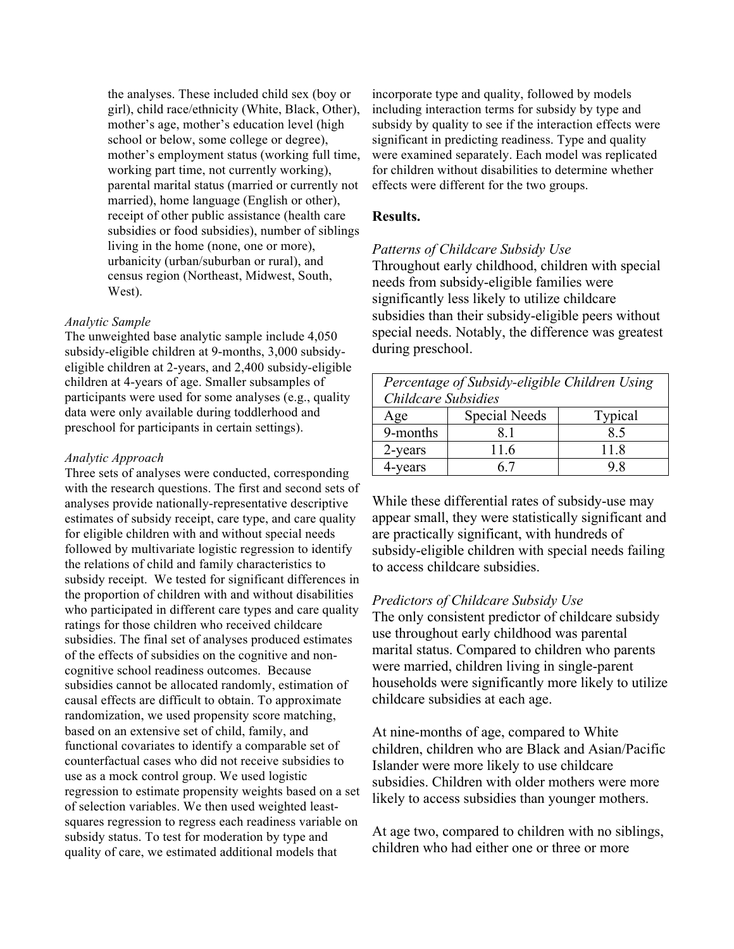the analyses. These included child sex (boy or girl), child race/ethnicity (White, Black, Other), mother's age, mother's education level (high school or below, some college or degree), mother's employment status (working full time, working part time, not currently working), parental marital status (married or currently not married), home language (English or other), receipt of other public assistance (health care subsidies or food subsidies), number of siblings living in the home (none, one or more), urbanicity (urban/suburban or rural), and census region (Northeast, Midwest, South, West).

#### *Analytic Sample*

The unweighted base analytic sample include 4,050 subsidy-eligible children at 9-months, 3,000 subsidyeligible children at 2-years, and 2,400 subsidy-eligible children at 4-years of age. Smaller subsamples of participants were used for some analyses (e.g., quality data were only available during toddlerhood and preschool for participants in certain settings).

#### *Analytic Approach*

Three sets of analyses were conducted, corresponding with the research questions. The first and second sets of analyses provide nationally-representative descriptive estimates of subsidy receipt, care type, and care quality for eligible children with and without special needs followed by multivariate logistic regression to identify the relations of child and family characteristics to subsidy receipt. We tested for significant differences in the proportion of children with and without disabilities who participated in different care types and care quality ratings for those children who received childcare subsidies. The final set of analyses produced estimates of the effects of subsidies on the cognitive and noncognitive school readiness outcomes. Because subsidies cannot be allocated randomly, estimation of causal effects are difficult to obtain. To approximate randomization, we used propensity score matching, based on an extensive set of child, family, and functional covariates to identify a comparable set of counterfactual cases who did not receive subsidies to use as a mock control group. We used logistic regression to estimate propensity weights based on a set of selection variables. We then used weighted leastsquares regression to regress each readiness variable on subsidy status. To test for moderation by type and quality of care, we estimated additional models that

incorporate type and quality, followed by models including interaction terms for subsidy by type and subsidy by quality to see if the interaction effects were significant in predicting readiness. Type and quality were examined separately. Each model was replicated for children without disabilities to determine whether effects were different for the two groups.

### **Results.**

#### *Patterns of Childcare Subsidy Use*

Throughout early childhood, children with special needs from subsidy-eligible families were significantly less likely to utilize childcare subsidies than their subsidy-eligible peers without special needs. Notably, the difference was greatest during preschool.

| Percentage of Subsidy-eligible Children Using |               |         |
|-----------------------------------------------|---------------|---------|
| Childcare Subsidies                           |               |         |
| Age                                           | Special Needs | Typical |
| 9-months                                      | 81            | 85      |
| 2-years                                       | 116           | 11 8    |
| <b>vears</b>                                  |               | 98      |

While these differential rates of subsidy-use may appear small, they were statistically significant and are practically significant, with hundreds of subsidy-eligible children with special needs failing to access childcare subsidies.

#### *Predictors of Childcare Subsidy Use*

The only consistent predictor of childcare subsidy use throughout early childhood was parental marital status. Compared to children who parents were married, children living in single-parent households were significantly more likely to utilize childcare subsidies at each age.

At nine-months of age, compared to White children, children who are Black and Asian/Pacific Islander were more likely to use childcare subsidies. Children with older mothers were more likely to access subsidies than younger mothers.

At age two, compared to children with no siblings, children who had either one or three or more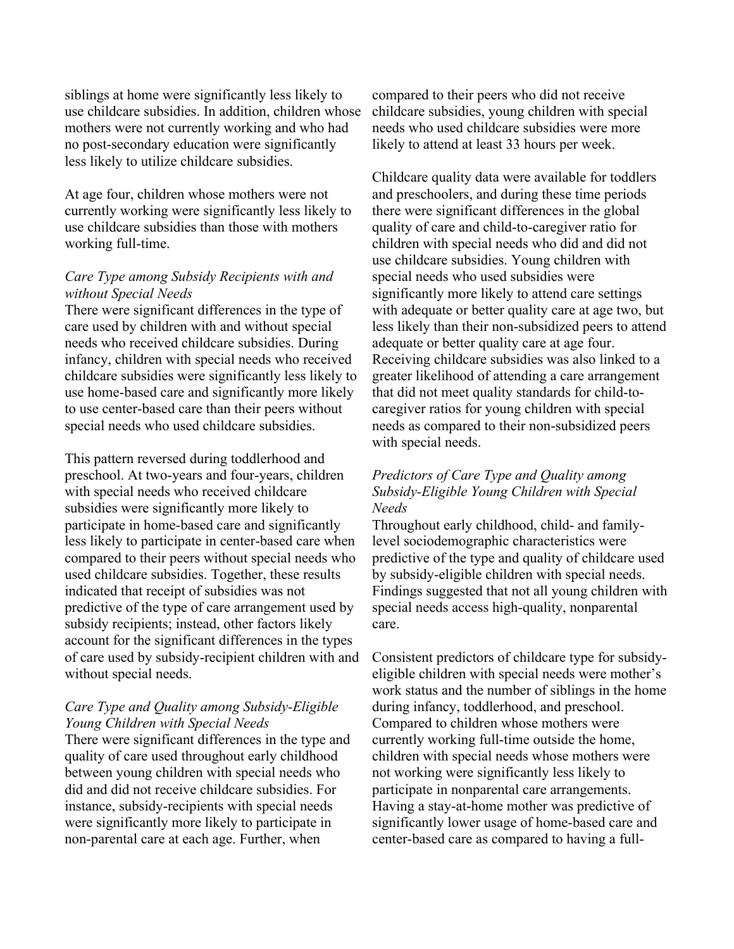siblings at home were significantly less likely to use childcare subsidies. In addition, children whose mothers were not currently working and who had no post-secondary education were significantly less likely to utilize childcare subsidies.

At age four, children whose mothers were not currently working were significantly less likely to use childcare subsidies than those with mothers working full-time.

## *Care Type among Subsidy Recipients with and without Special Needs*

There were significant differences in the type of care used by children with and without special needs who received childcare subsidies. During infancy, children with special needs who received childcare subsidies were significantly less likely to use home-based care and significantly more likely to use center-based care than their peers without special needs who used childcare subsidies.

This pattern reversed during toddlerhood and preschool. At two-years and four-years, children with special needs who received childcare subsidies were significantly more likely to participate in home-based care and significantly less likely to participate in center-based care when compared to their peers without special needs who used childcare subsidies. Together, these results indicated that receipt of subsidies was not predictive of the type of care arrangement used by subsidy recipients; instead, other factors likely account for the significant differences in the types of care used by subsidy-recipient children with and without special needs.

# *Care Type and Quality among Subsidy-Eligible Young Children with Special Needs*

There were significant differences in the type and quality of care used throughout early childhood between young children with special needs who did and did not receive childcare subsidies. For instance, subsidy-recipients with special needs were significantly more likely to participate in non-parental care at each age. Further, when

compared to their peers who did not receive childcare subsidies, young children with special needs who used childcare subsidies were more likely to attend at least 33 hours per week.

Childcare quality data were available for toddlers and preschoolers, and during these time periods there were significant differences in the global quality of care and child-to-caregiver ratio for children with special needs who did and did not use childcare subsidies. Young children with special needs who used subsidies were significantly more likely to attend care settings with adequate or better quality care at age two, but less likely than their non-subsidized peers to attend adequate or better quality care at age four. Receiving childcare subsidies was also linked to a greater likelihood of attending a care arrangement that did not meet quality standards for child-tocaregiver ratios for young children with special needs as compared to their non-subsidized peers with special needs.

# *Predictors of Care Type and Quality among Subsidy-Eligible Young Children with Special Needs*

Throughout early childhood, child- and familylevel sociodemographic characteristics were predictive of the type and quality of childcare used by subsidy-eligible children with special needs. Findings suggested that not all young children with special needs access high-quality, nonparental care.

Consistent predictors of childcare type for subsidyeligible children with special needs were mother's work status and the number of siblings in the home during infancy, toddlerhood, and preschool. Compared to children whose mothers were currently working full-time outside the home, children with special needs whose mothers were not working were significantly less likely to participate in nonparental care arrangements. Having a stay-at-home mother was predictive of significantly lower usage of home-based care and center-based care as compared to having a full-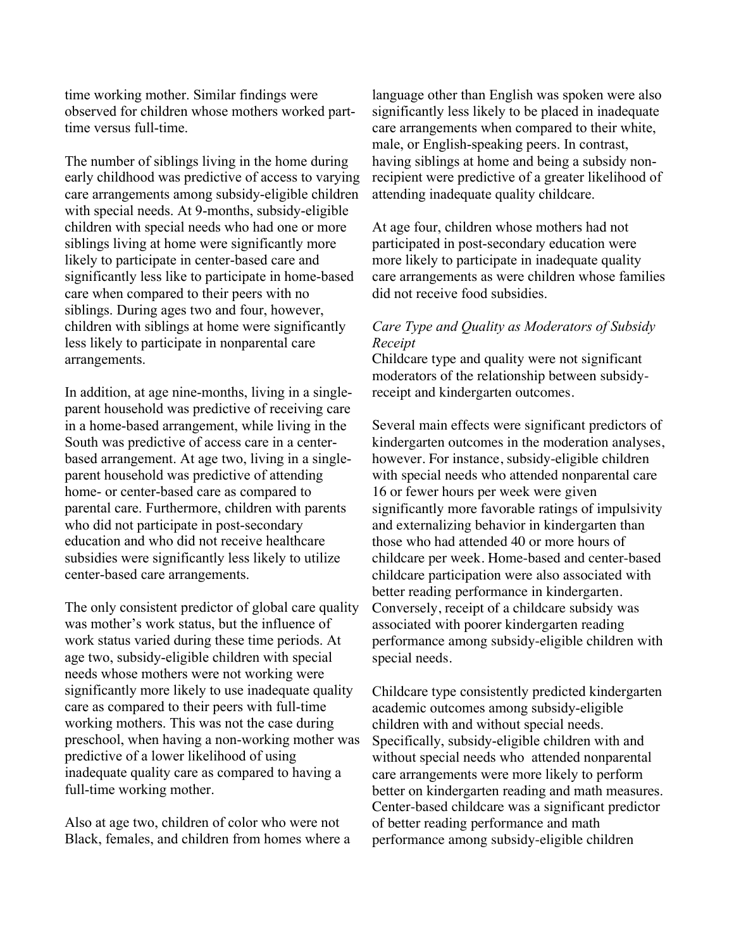time working mother. Similar findings were observed for children whose mothers worked parttime versus full-time.

The number of siblings living in the home during early childhood was predictive of access to varying care arrangements among subsidy-eligible children with special needs. At 9-months, subsidy-eligible children with special needs who had one or more siblings living at home were significantly more likely to participate in center-based care and significantly less like to participate in home-based care when compared to their peers with no siblings. During ages two and four, however, children with siblings at home were significantly less likely to participate in nonparental care arrangements.

In addition, at age nine-months, living in a singleparent household was predictive of receiving care in a home-based arrangement, while living in the South was predictive of access care in a centerbased arrangement. At age two, living in a singleparent household was predictive of attending home- or center-based care as compared to parental care. Furthermore, children with parents who did not participate in post-secondary education and who did not receive healthcare subsidies were significantly less likely to utilize center-based care arrangements.

The only consistent predictor of global care quality was mother's work status, but the influence of work status varied during these time periods. At age two, subsidy-eligible children with special needs whose mothers were not working were significantly more likely to use inadequate quality care as compared to their peers with full-time working mothers. This was not the case during preschool, when having a non-working mother was predictive of a lower likelihood of using inadequate quality care as compared to having a full-time working mother.

Also at age two, children of color who were not Black, females, and children from homes where a language other than English was spoken were also significantly less likely to be placed in inadequate care arrangements when compared to their white, male, or English-speaking peers. In contrast, having siblings at home and being a subsidy nonrecipient were predictive of a greater likelihood of attending inadequate quality childcare.

At age four, children whose mothers had not participated in post-secondary education were more likely to participate in inadequate quality care arrangements as were children whose families did not receive food subsidies.

# *Care Type and Quality as Moderators of Subsidy Receipt*

Childcare type and quality were not significant moderators of the relationship between subsidyreceipt and kindergarten outcomes.

Several main effects were significant predictors of kindergarten outcomes in the moderation analyses, however. For instance, subsidy-eligible children with special needs who attended nonparental care 16 or fewer hours per week were given significantly more favorable ratings of impulsivity and externalizing behavior in kindergarten than those who had attended 40 or more hours of childcare per week. Home-based and center-based childcare participation were also associated with better reading performance in kindergarten. Conversely, receipt of a childcare subsidy was associated with poorer kindergarten reading performance among subsidy-eligible children with special needs.

Childcare type consistently predicted kindergarten academic outcomes among subsidy-eligible children with and without special needs. Specifically, subsidy-eligible children with and without special needs who attended nonparental care arrangements were more likely to perform better on kindergarten reading and math measures. Center-based childcare was a significant predictor of better reading performance and math performance among subsidy-eligible children